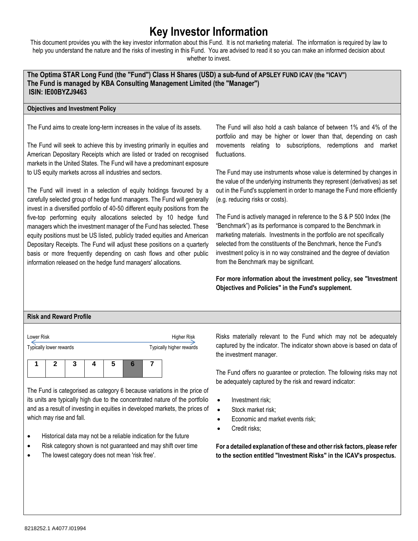# **Key Investor Information**

This document provides you with the key investor information about this Fund. It is not marketing material. The information is required by law to help you understand the nature and the risks of investing in this Fund. You are advised to read it so you can make an informed decision about whether to invest.

**The Optima STAR Long Fund (the "Fund") Class H Shares (USD) a sub-fund of APSLEY FUND ICAV (the "ICAV") The Fund is managed by KBA Consulting Management Limited (the "Manager") ISIN: IE00BYZJ9463** 

#### **Objectives and Investment Policy**

The Fund aims to create long-term increases in the value of its assets.

The Fund will seek to achieve this by investing primarily in equities and American Depositary Receipts which are listed or traded on recognised markets in the United States. The Fund will have a predominant exposure to US equity markets across all industries and sectors.

The Fund will invest in a selection of equity holdings favoured by a carefully selected group of hedge fund managers. The Fund will generally invest in a diversified portfolio of 40-50 different equity positions from the five-top performing equity allocations selected by 10 hedge fund managers which the investment manager of the Fund has selected. These equity positions must be US listed, publicly traded equities and American Depositary Receipts. The Fund will adjust these positions on a quarterly basis or more frequently depending on cash flows and other public information released on the hedge fund managers' allocations.

The Fund will also hold a cash balance of between 1% and 4% of the portfolio and may be higher or lower than that, depending on cash movements relating to subscriptions, redemptions and market fluctuations.

The Fund may use instruments whose value is determined by changes in the value of the underlying instruments they represent (derivatives) as set out in the Fund's supplement in order to manage the Fund more efficiently (e.g. reducing risks or costs).

The Fund is actively managed in reference to the S & P 500 Index (the "Benchmark") as its performance is compared to the Benchmark in marketing materials. Investments in the portfolio are not specifically selected from the constituents of the Benchmark, hence the Fund's investment policy is in no way constrained and the degree of deviation from the Benchmark may be significant.

**For more information about the investment policy, see "Investment Objectives and Policies" in the Fund's supplement.**

# **Risk and Reward Profile**

| Lower Risk              |  |  |  |   |  |  | Higher Risk              |  |
|-------------------------|--|--|--|---|--|--|--------------------------|--|
| Typically lower rewards |  |  |  |   |  |  | Typically higher rewards |  |
|                         |  |  |  | 5 |  |  |                          |  |
|                         |  |  |  |   |  |  |                          |  |

The Fund is categorised as category 6 because variations in the price of its units are typically high due to the concentrated nature of the portfolio and as a result of investing in equities in developed markets, the prices of which may rise and fall.

- Historical data may not be a reliable indication for the future
- Risk category shown is not guaranteed and may shift over time
- The lowest category does not mean 'risk free'.

Risks materially relevant to the Fund which may not be adequately captured by the indicator. The indicator shown above is based on data of the investment manager.

The Fund offers no guarantee or protection. The following risks may not be adequately captured by the risk and reward indicator:

- Investment risk;
- Stock market risk:
- Economic and market events risk;
- Credit risks;

**For a detailed explanation of these and other risk factors, please refer to the section entitled "Investment Risks" in the ICAV's prospectus.**